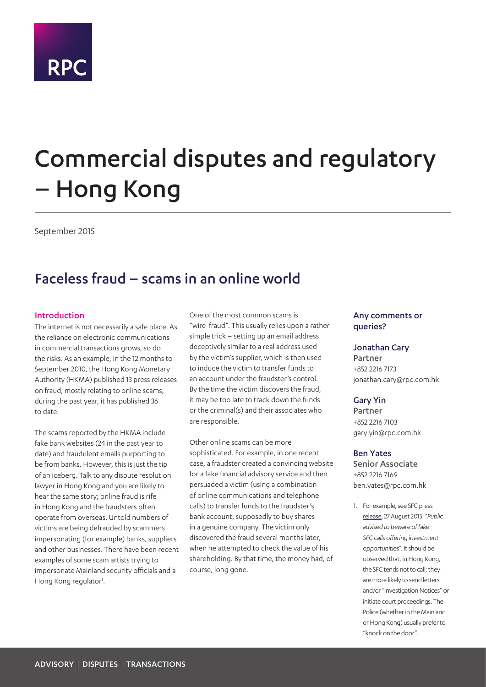

# Commercial disputes and regulatory – Hong Kong

September 2015

## Faceless fraud – scams in an online world

#### Introduction

The internet is not necessarily a safe place. As the reliance on electronic communications in commercial transactions grows, so do the risks. As an example, in the 12 months to September 2010, the Hong Kong Monetary Authority (HKMA) published 13 press releases on fraud, mostly relating to online scams; during the past year, it has published 36 to date.

The scams reported by the HKMA include fake bank websites (24 in the past year to date) and fraudulent emails purporting to be from banks. However, this is just the tip of an iceberg. Talk to any dispute resolution lawyer in Hong Kong and you are likely to hear the same story; online fraud is rife in Hong Kong and the fraudsters often operate from overseas. Untold numbers of victims are being defrauded by scammers impersonating (for example) banks, suppliers and other businesses. There have been recent examples of some scam artists trying to impersonate Mainland security officials and a Hong Kong regulator<sup>[1](#page-0-0)</sup>.

One of the most common scams is "wire fraud". This usually relies upon a rather simple trick – setting up an email address deceptively similar to a real address used by the victim's supplier, which is then used to induce the victim to transfer funds to an account under the fraudster's control. By the time the victim discovers the fraud, it may be too late to track down the funds or the criminal(s) and their associates who are responsible.

Other online scams can be more sophisticated. For example, in one recent case, a fraudster created a convincing website for a fake financial advisory service and then persuaded a victim (using a combination of online communications and telephone calls) to transfer funds to the fraudster's bank account, supposedly to buy shares in a genuine company. The victim only discovered the fraud several months later, when he attempted to check the value of his shareholding. By that time, the money had, of course, long gone.

#### Any comments or queries?

#### Jonathan Cary

Partner +852 2216 7173 jonathan.cary@rpc.com.hk

#### Gary Yin

Partner +852 2216 7103 gary.yin@rpc.com.hk

#### Ben Yates

Senior Associate +852 2216 7169 ben.yates@rpc.com.hk

<span id="page-0-0"></span>1. For example, see [SFC press](http://www.sfc.hk/edistributionWeb/gateway/EN/news-and-announcements/news/doc?refNo=15PR87)  [release](http://www.sfc.hk/edistributionWeb/gateway/EN/news-and-announcements/news/doc?refNo=15PR87), 27 August 2015: "*Public advised to beware of fake SFC calls offering investment opportunities*". It should be observed that, in Hong Kong, the SFC tends not to call; they are more likely to send letters and/or "Investigation Notices" or initiate court proceedings. The Police (whether in the Mainland or Hong Kong) usually prefer to "knock on the door".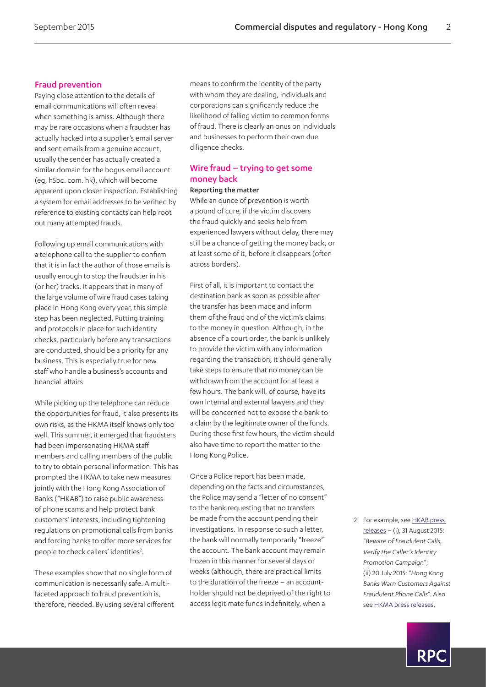#### Fraud prevention

Paying close attention to the details of email communications will often reveal when something is amiss. Although there may be rare occasions when a fraudster has actually hacked into a supplier's email server and sent emails from a genuine account, usually the sender has actually created a similar domain for the bogus email account (eg, h5bc. com. hk), which will become apparent upon closer inspection. Establishing a system for email addresses to be verified by reference to existing contacts can help root out many attempted frauds.

Following up email communications with a telephone call to the supplier to confirm that it is in fact the author of those emails is usually enough to stop the fraudster in his (or her) tracks. It appears that in many of the large volume of wire fraud cases taking place in Hong Kong every year, this simple step has been neglected. Putting training and protocols in place for such identity checks, particularly before any transactions are conducted, should be a priority for any business. This is especially true for new staff who handle a business's accounts and financial affairs.

While picking up the telephone can reduce the opportunities for fraud, it also presents its own risks, as the HKMA itself knows only too well. This summer, it emerged that fraudsters had been impersonating HKMA staff members and calling members of the public to try to obtain personal information. This has prompted the HKMA to take new measures jointly with the Hong Kong Association of Banks ("HKAB") to raise public awareness of phone scams and help protect bank customers' interests, including tightening regulations on promotional calls from banks and forcing banks to offer more services for people to check callers' identities<sup>2</sup>.

These examples show that no single form of communication is necessarily safe. A multifaceted approach to fraud prevention is, therefore, needed. By using several different means to confirm the identity of the party with whom they are dealing, individuals and corporations can significantly reduce the likelihood of falling victim to common forms of fraud. There is clearly an onus on individuals and businesses to perform their own due diligence checks.

#### Wire fraud – trying to get some money back

#### Reporting the matter

While an ounce of prevention is worth a pound of cure, if the victim discovers the fraud quickly and seeks help from experienced lawyers without delay, there may still be a chance of getting the money back, or at least some of it, before it disappears (often across borders).

First of all, it is important to contact the destination bank as soon as possible after the transfer has been made and inform them of the fraud and of the victim's claims to the money in question. Although, in the absence of a court order, the bank is unlikely to provide the victim with any information regarding the transaction, it should generally take steps to ensure that no money can be withdrawn from the account for at least a few hours. The bank will, of course, have its own internal and external lawyers and they will be concerned not to expose the bank to a claim by the legitimate owner of the funds. During these first few hours, the victim should also have time to report the matter to the Hong Kong Police.

Once a Police report has been made, depending on the facts and circumstances, the Police may send a "letter of no consent" to the bank requesting that no transfers be made from the account pending their investigations. In response to such a letter, the bank will normally temporarily "freeze" the account. The bank account may remain frozen in this manner for several days or weeks (although, there are practical limits to the duration of the freeze – an accountholder should not be deprived of the right to access legitimate funds indefinitely, when a

<span id="page-1-0"></span>2. For example, see [HKAB press](https://www.hkab.org.hk/DisplayWhatsNewsAction.do?ss=1&id=2915&lang=en&key_=&year_=0&act)  [releases](https://www.hkab.org.hk/DisplayWhatsNewsAction.do?ss=1&id=2915&lang=en&key_=&year_=0&act) – (i), 31 August 2015: "*Beware of Fraudulent Calls, Verify the Caller's Identity Promotion Campaign*"; (ii) 20 July 2015: "*Hong Kong Banks Warn Customers Against Fraudulent Phone Calls*". Also see [HKMA press releases](http://www.hkma.gov.hk/eng/key-information/press-releases/2015/).

RP(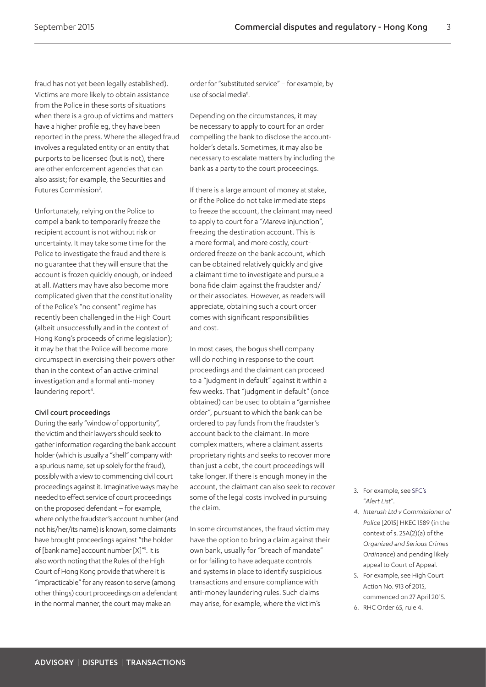fraud has not yet been legally established). Victims are more likely to obtain assistance from the Police in these sorts of situations when there is a group of victims and matters have a higher profile eg, they have been reported in the press. Where the alleged fraud involves a regulated entity or an entity that purports to be licensed (but is not), there are other enforcement agencies that can also assist; for example, the Securities and Futures Commission<sup>3</sup>.

Unfortunately, relying on the Police to compel a bank to temporarily freeze the recipient account is not without risk or uncertainty. It may take some time for the Police to investigate the fraud and there is no guarantee that they will ensure that the account is frozen quickly enough, or indeed at all. Matters may have also become more complicated given that the constitutionality of the Police's "no consent" regime has recently been challenged in the High Court (albeit unsuccessfully and in the context of Hong Kong's proceeds of crime legislation); it may be that the Police will become more circumspect in exercising their powers other than in the context of an active criminal investigation and a formal anti-money laundering report<sup>[4](#page-2-1)</sup>.

#### Civil court proceedings

During the early "window of opportunity", the victim and their lawyers should seek to gather information regarding the bank account holder (which is usually a "shell" company with a spurious name, set up solely for the fraud), possibly with a view to commencing civil court proceedings against it. Imaginative ways may be needed to effect service of court proceedings on the proposed defendant – for example, where only the fraudster's account number (and not his/her/its name) is known, some claimants have brought proceedings against "the holder of [bank name] account number [X]"<sup>[5](#page-2-2)</sup>. It is also worth noting that the Rules of the High Court of Hong Kong provide that where it is "impracticable" for any reason to serve (among other things) court proceedings on a defendant in the normal manner, the court may make an

order for "substituted service" – for example, by use of social media<sup>6</sup>.

Depending on the circumstances, it may be necessary to apply to court for an order compelling the bank to disclose the accountholder's details. Sometimes, it may also be necessary to escalate matters by including the bank as a party to the court proceedings.

If there is a large amount of money at stake, or if the Police do not take immediate steps to freeze the account, the claimant may need to apply to court for a "*Mareva* injunction", freezing the destination account. This is a more formal, and more costly, courtordered freeze on the bank account, which can be obtained relatively quickly and give a claimant time to investigate and pursue a bona fide claim against the fraudster and/ or their associates. However, as readers will appreciate, obtaining such a court order comes with significant responsibilities and cost.

In most cases, the bogus shell company will do nothing in response to the court proceedings and the claimant can proceed to a "judgment in default" against it within a few weeks. That "judgment in default" (once obtained) can be used to obtain a "garnishee order", pursuant to which the bank can be ordered to pay funds from the fraudster's account back to the claimant. In more complex matters, where a claimant asserts proprietary rights and seeks to recover more than just a debt, the court proceedings will take longer. If there is enough money in the account, the claimant can also seek to recover some of the legal costs involved in pursuing the claim.

In some circumstances, the fraud victim may have the option to bring a claim against their own bank, usually for "breach of mandate" or for failing to have adequate controls and systems in place to identify suspicious transactions and ensure compliance with anti-money laundering rules. Such claims may arise, for example, where the victim's

- <span id="page-2-0"></span>3. For example, see [SFC's](http://www.sfc.hk/web/EN/alert-list/) "*Alert List*".
- <span id="page-2-1"></span>*4. Interush Ltd v Commissioner of Police* [2015] HKEC 1589 (in the context of s. 25A(2)(a) of the *Organized and Serious Crimes Ordinance*) and pending likely appeal to Court of Appeal.
- <span id="page-2-2"></span>5. For example, see High Court Action No. 913 of 2015, commenced on 27 April 2015.
- <span id="page-2-3"></span>6. RHC Order 65, rule 4.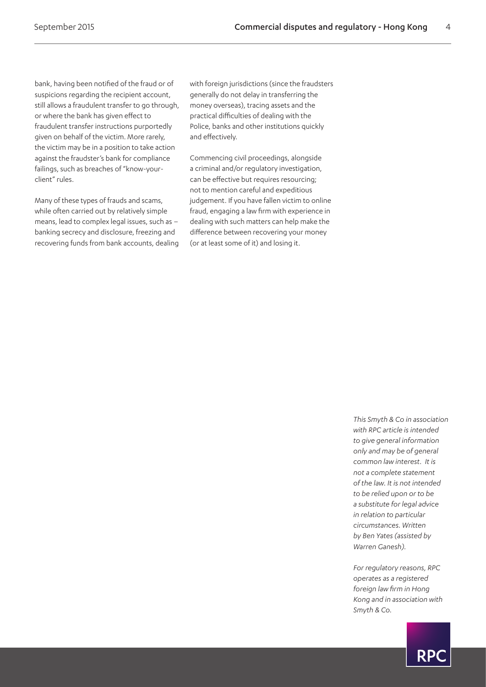bank, having been notified of the fraud or of suspicions regarding the recipient account, still allows a fraudulent transfer to go through, or where the bank has given effect to fraudulent transfer instructions purportedly given on behalf of the victim. More rarely, the victim may be in a position to take action against the fraudster's bank for compliance failings, such as breaches of "know-yourclient" rules.

Many of these types of frauds and scams, while often carried out by relatively simple means, lead to complex legal issues, such as – banking secrecy and disclosure, freezing and recovering funds from bank accounts, dealing with foreign jurisdictions (since the fraudsters generally do not delay in transferring the money overseas), tracing assets and the practical difficulties of dealing with the Police, banks and other institutions quickly and effectively.

Commencing civil proceedings, alongside a criminal and/or regulatory investigation, can be effective but requires resourcing; not to mention careful and expeditious judgement. If you have fallen victim to online fraud, engaging a law firm with experience in dealing with such matters can help make the difference between recovering your money (or at least some of it) and losing it.

> *This Smyth & Co in association with RPC article is intended to give general information only and may be of general common law interest. It is not a complete statement of the law. It is not intended to be relied upon or to be a substitute for legal advice in relation to particular circumstances. Written by Ben Yates (assisted by Warren Ganesh).*

*For regulatory reasons, RPC operates as a registered foreign law firm in Hong Kong and in association with Smyth & Co.*